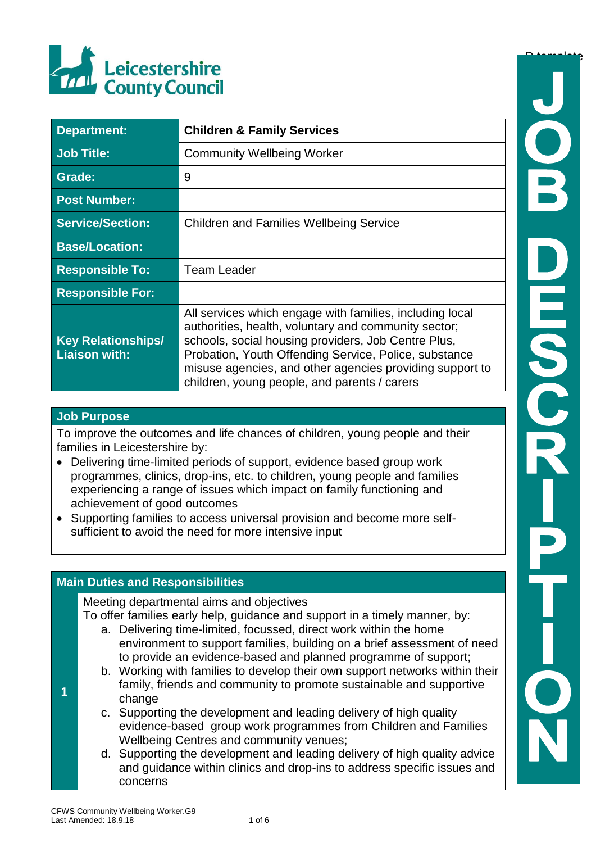

| <b>Department:</b>                                | <b>Children &amp; Family Services</b>                                                                                                                                                                                                                                                                                                        |  |
|---------------------------------------------------|----------------------------------------------------------------------------------------------------------------------------------------------------------------------------------------------------------------------------------------------------------------------------------------------------------------------------------------------|--|
| <b>Job Title:</b>                                 | <b>Community Wellbeing Worker</b>                                                                                                                                                                                                                                                                                                            |  |
| <b>Grade:</b>                                     | 9                                                                                                                                                                                                                                                                                                                                            |  |
| <b>Post Number:</b>                               |                                                                                                                                                                                                                                                                                                                                              |  |
| <b>Service/Section:</b>                           | <b>Children and Families Wellbeing Service</b>                                                                                                                                                                                                                                                                                               |  |
| <b>Base/Location:</b>                             |                                                                                                                                                                                                                                                                                                                                              |  |
| <b>Responsible To:</b>                            | <b>Team Leader</b>                                                                                                                                                                                                                                                                                                                           |  |
| <b>Responsible For:</b>                           |                                                                                                                                                                                                                                                                                                                                              |  |
| <b>Key Relationships/</b><br><b>Liaison with:</b> | All services which engage with families, including local<br>authorities, health, voluntary and community sector;<br>schools, social housing providers, Job Centre Plus,<br>Probation, Youth Offending Service, Police, substance<br>misuse agencies, and other agencies providing support to<br>children, young people, and parents / carers |  |

## **Job Purpose**

**1**

To improve the outcomes and life chances of children, young people and their families in Leicestershire by:

- Delivering time-limited periods of support, evidence based group work programmes, clinics, drop-ins, etc. to children, young people and families experiencing a range of issues which impact on family functioning and achievement of good outcomes
- Supporting families to access universal provision and become more selfsufficient to avoid the need for more intensive input

## **Main Duties and Responsibilities**

Meeting departmental aims and objectives

- To offer families early help, guidance and support in a timely manner, by: a. Delivering time-limited, focussed, direct work within the home
	- environment to support families, building on a brief assessment of need to provide an evidence-based and planned programme of support;
	- b. Working with families to develop their own support networks within their family, friends and community to promote sustainable and supportive change
	- c. Supporting the development and leading delivery of high quality evidence-based group work programmes from Children and Families Wellbeing Centres and community venues;
	- d. Supporting the development and leading delivery of high quality advice and guidance within clinics and drop-ins to address specific issues and concerns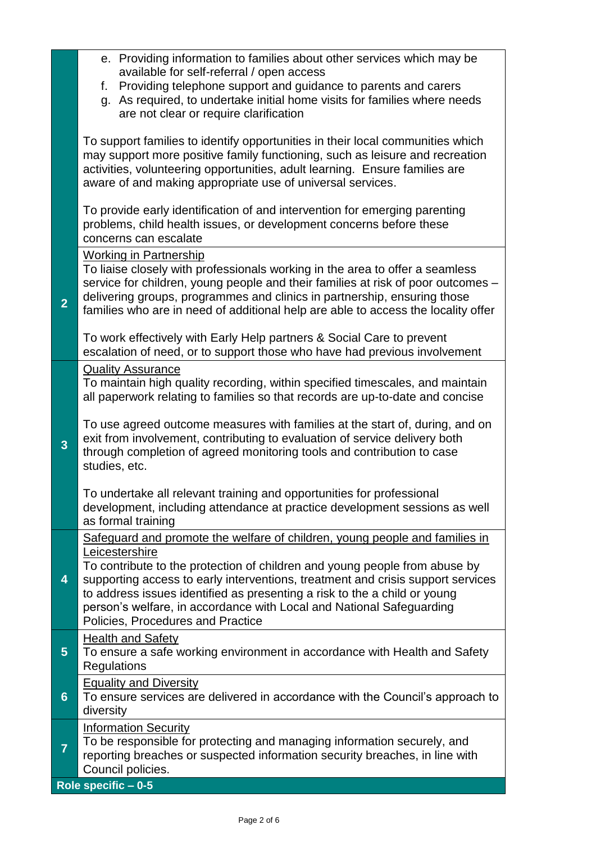|                         | e. Providing information to families about other services which may be<br>available for self-referral / open access<br>Providing telephone support and guidance to parents and carers<br>f.<br>g. As required, to undertake initial home visits for families where needs<br>are not clear or require clarification                                                                                                                                       |
|-------------------------|----------------------------------------------------------------------------------------------------------------------------------------------------------------------------------------------------------------------------------------------------------------------------------------------------------------------------------------------------------------------------------------------------------------------------------------------------------|
|                         | To support families to identify opportunities in their local communities which<br>may support more positive family functioning, such as leisure and recreation<br>activities, volunteering opportunities, adult learning. Ensure families are<br>aware of and making appropriate use of universal services.                                                                                                                                              |
|                         | To provide early identification of and intervention for emerging parenting<br>problems, child health issues, or development concerns before these<br>concerns can escalate                                                                                                                                                                                                                                                                               |
| $\overline{2}$          | <b>Working in Partnership</b><br>To liaise closely with professionals working in the area to offer a seamless<br>service for children, young people and their families at risk of poor outcomes -<br>delivering groups, programmes and clinics in partnership, ensuring those<br>families who are in need of additional help are able to access the locality offer<br>To work effectively with Early Help partners & Social Care to prevent              |
|                         | escalation of need, or to support those who have had previous involvement                                                                                                                                                                                                                                                                                                                                                                                |
| $\overline{\mathbf{3}}$ | <b>Quality Assurance</b><br>To maintain high quality recording, within specified timescales, and maintain<br>all paperwork relating to families so that records are up-to-date and concise<br>To use agreed outcome measures with families at the start of, during, and on<br>exit from involvement, contributing to evaluation of service delivery both<br>through completion of agreed monitoring tools and contribution to case<br>studies, etc.      |
|                         | To undertake all relevant training and opportunities for professional<br>development, including attendance at practice development sessions as well<br>as formal training                                                                                                                                                                                                                                                                                |
| 4                       | Safeguard and promote the welfare of children, young people and families in<br>Leicestershire<br>To contribute to the protection of children and young people from abuse by<br>supporting access to early interventions, treatment and crisis support services<br>to address issues identified as presenting a risk to the a child or young<br>person's welfare, in accordance with Local and National Safeguarding<br>Policies, Procedures and Practice |
| $5\phantom{.0}$         | <b>Health and Safety</b><br>To ensure a safe working environment in accordance with Health and Safety<br>Regulations                                                                                                                                                                                                                                                                                                                                     |
| $6\phantom{1}6$         | <b>Equality and Diversity</b><br>To ensure services are delivered in accordance with the Council's approach to<br>diversity                                                                                                                                                                                                                                                                                                                              |
| $\overline{7}$          | <b>Information Security</b><br>To be responsible for protecting and managing information securely, and<br>reporting breaches or suspected information security breaches, in line with<br>Council policies.                                                                                                                                                                                                                                               |
|                         | Role specific $-0.5$                                                                                                                                                                                                                                                                                                                                                                                                                                     |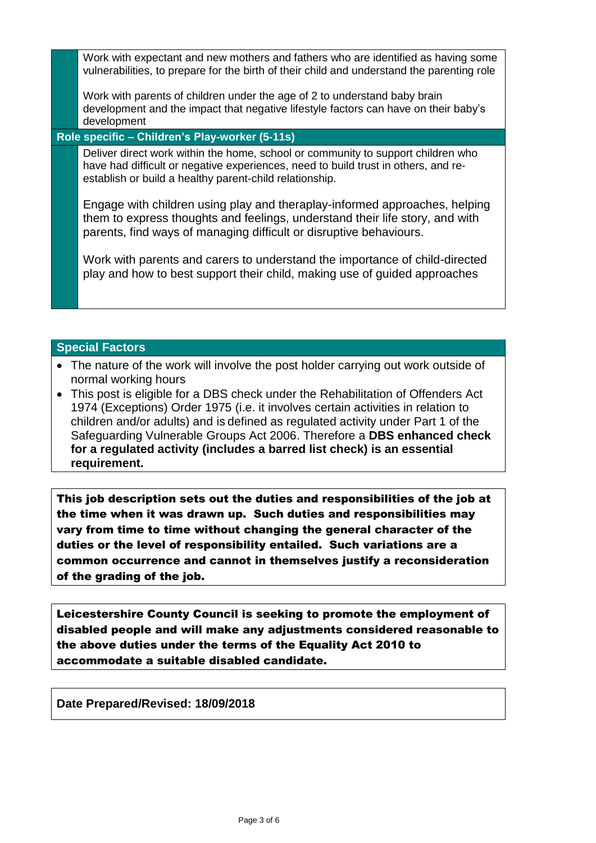Work with expectant and new mothers and fathers who are identified as having some vulnerabilities, to prepare for the birth of their child and understand the parenting role

Work with parents of children under the age of 2 to understand baby brain development and the impact that negative lifestyle factors can have on their baby's development

## **Role specific – Children's Play-worker (5-11s)**

Deliver direct work within the home, school or community to support children who have had difficult or negative experiences, need to build trust in others, and reestablish or build a healthy parent-child relationship.

Engage with children using play and theraplay-informed approaches, helping them to express thoughts and feelings, understand their life story, and with parents, find ways of managing difficult or disruptive behaviours.

Work with parents and carers to understand the importance of child-directed play and how to best support their child, making use of guided approaches

## **Special Factors**

- The nature of the work will involve the post holder carrying out work outside of normal working hours
- This post is eligible for a DBS check under the Rehabilitation of Offenders Act 1974 (Exceptions) Order 1975 (i.e. it involves certain activities in relation to children and/or adults) and is defined as regulated activity under Part 1 of the Safeguarding Vulnerable Groups Act 2006. Therefore a **DBS enhanced check for a regulated activity (includes a barred list check) is an essential requirement.**

This job description sets out the duties and responsibilities of the job at the time when it was drawn up. Such duties and responsibilities may vary from time to time without changing the general character of the duties or the level of responsibility entailed. Such variations are a common occurrence and cannot in themselves justify a reconsideration of the grading of the job.

Leicestershire County Council is seeking to promote the employment of disabled people and will make any adjustments considered reasonable to the above duties under the terms of the Equality Act 2010 to accommodate a suitable disabled candidate.

**Date Prepared/Revised: 18/09/2018**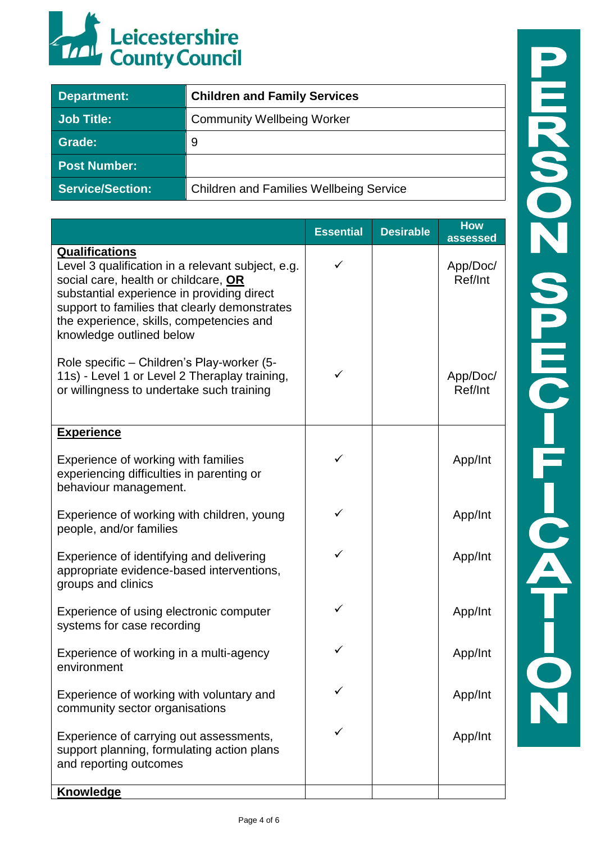

| Department:             | <b>Children and Family Services</b>            |
|-------------------------|------------------------------------------------|
| <b>Job Title:</b>       | <b>Community Wellbeing Worker</b>              |
| Grade:                  | 9                                              |
| <b>Post Number:</b>     |                                                |
| <b>Service/Section:</b> | <b>Children and Families Wellbeing Service</b> |

|                                                                                                                                                                                                                                                                                           | <b>Essential</b> | <b>Desirable</b> | <b>How</b><br>assessed |
|-------------------------------------------------------------------------------------------------------------------------------------------------------------------------------------------------------------------------------------------------------------------------------------------|------------------|------------------|------------------------|
| <b>Qualifications</b><br>Level 3 qualification in a relevant subject, e.g.<br>social care, health or childcare, OR<br>substantial experience in providing direct<br>support to families that clearly demonstrates<br>the experience, skills, competencies and<br>knowledge outlined below |                  |                  | App/Doc/<br>Ref/Int    |
| Role specific - Children's Play-worker (5-<br>11s) - Level 1 or Level 2 Theraplay training,<br>or willingness to undertake such training                                                                                                                                                  | ✓                |                  | App/Doc/<br>Ref/Int    |
| <b>Experience</b>                                                                                                                                                                                                                                                                         |                  |                  |                        |
| Experience of working with families<br>experiencing difficulties in parenting or<br>behaviour management.                                                                                                                                                                                 | ✓                |                  | App/Int                |
| Experience of working with children, young<br>people, and/or families                                                                                                                                                                                                                     | ✓                |                  | App/Int                |
| Experience of identifying and delivering<br>appropriate evidence-based interventions,<br>groups and clinics                                                                                                                                                                               | ✓                |                  | App/Int                |
| Experience of using electronic computer<br>systems for case recording                                                                                                                                                                                                                     | ✓                |                  | App/Int                |
| Experience of working in a multi-agency<br>environment                                                                                                                                                                                                                                    |                  |                  | App/Int                |
| Experience of working with voluntary and<br>community sector organisations                                                                                                                                                                                                                |                  |                  | App/Int                |
| Experience of carrying out assessments,<br>support planning, formulating action plans<br>and reporting outcomes                                                                                                                                                                           |                  |                  | App/Int                |
| Knowledge                                                                                                                                                                                                                                                                                 |                  |                  |                        |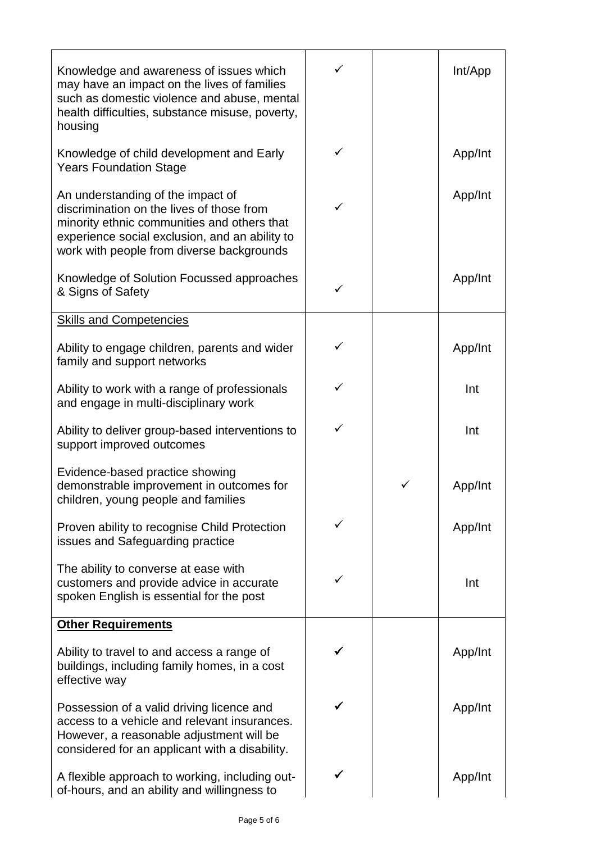| Knowledge and awareness of issues which<br>may have an impact on the lives of families<br>such as domestic violence and abuse, mental<br>health difficulties, substance misuse, poverty,<br>housing                          | ✓ |   | Int/App |
|------------------------------------------------------------------------------------------------------------------------------------------------------------------------------------------------------------------------------|---|---|---------|
| Knowledge of child development and Early<br><b>Years Foundation Stage</b>                                                                                                                                                    | ✓ |   | App/Int |
| An understanding of the impact of<br>discrimination on the lives of those from<br>minority ethnic communities and others that<br>experience social exclusion, and an ability to<br>work with people from diverse backgrounds | ✓ |   | App/Int |
| Knowledge of Solution Focussed approaches<br>& Signs of Safety                                                                                                                                                               | ✓ |   | App/Int |
| <b>Skills and Competencies</b>                                                                                                                                                                                               |   |   |         |
| Ability to engage children, parents and wider<br>family and support networks                                                                                                                                                 | ✓ |   | App/Int |
| Ability to work with a range of professionals<br>and engage in multi-disciplinary work                                                                                                                                       |   |   | Int     |
| Ability to deliver group-based interventions to<br>support improved outcomes                                                                                                                                                 | ✓ |   | Int     |
| Evidence-based practice showing<br>demonstrable improvement in outcomes for<br>children, young people and families                                                                                                           |   | ✓ | App/Int |
| Proven ability to recognise Child Protection<br>issues and Safeguarding practice                                                                                                                                             |   |   | App/Int |
| The ability to converse at ease with<br>customers and provide advice in accurate<br>spoken English is essential for the post                                                                                                 |   |   | Int     |
| <b>Other Requirements</b>                                                                                                                                                                                                    |   |   |         |
| Ability to travel to and access a range of<br>buildings, including family homes, in a cost<br>effective way                                                                                                                  |   |   | App/Int |
| Possession of a valid driving licence and<br>access to a vehicle and relevant insurances.<br>However, a reasonable adjustment will be<br>considered for an applicant with a disability.                                      |   |   | App/Int |
| A flexible approach to working, including out-<br>of-hours, and an ability and willingness to                                                                                                                                |   |   | App/Int |